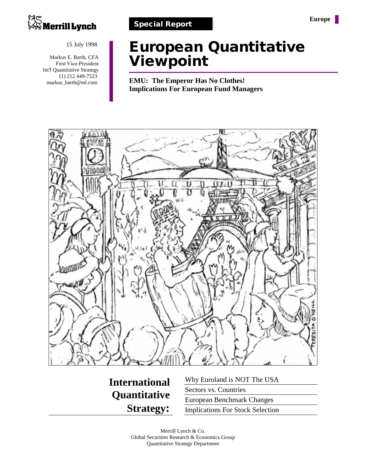

15 July 1998

Markus E. Barth, CFA First Vice-President Int'l Quantitative Strategy (1) 212 449-7523 markus\_barth@ml.com

## **European Quantitative Viewpoint**

**EMU: The Emperor Has No Clothes! Implications For European Fund Managers**



**International Quantitative Strategy:**

Why Euroland is NOT The USA Sectors vs. Countries European Benchmark Changes Implications For Stock Selection

Merrill Lynch & Co. Global Securities Research & Economics Group Quantitative Strategy Department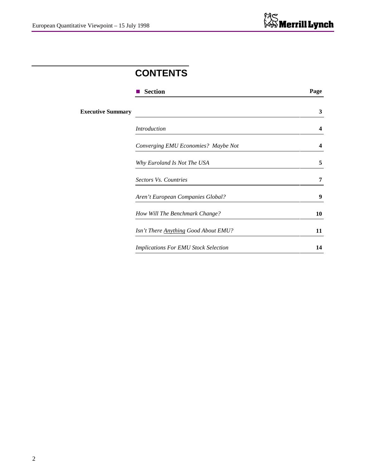### **CONTENTS**

|                          | <b>Section</b>                              | Page |
|--------------------------|---------------------------------------------|------|
| <b>Executive Summary</b> |                                             | 3    |
|                          | <b>Introduction</b>                         | 4    |
|                          | Converging EMU Economies? Maybe Not         | 4    |
|                          | Why Euroland Is Not The USA                 | 5    |
|                          | Sectors Vs. Countries                       | 7    |
|                          | Aren't European Companies Global?           | 9    |
|                          | How Will The Benchmark Change?              | 10   |
|                          | <b>Isn't There Anything Good About EMU?</b> | 11   |
|                          | <b>Implications For EMU Stock Selection</b> | 14   |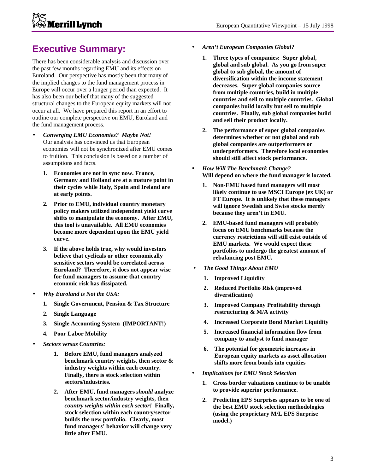# **Merrill Lynch**

### **Executive Summary:**

There has been considerable analysis and discussion over the past few months regarding EMU and its effects on Euroland. Our perspective has mostly been that many of the implied changes to the fund management process in Europe will occur over a longer period than expected. It has also been our belief that many of the suggested structural changes to the European equity markets will not occur at all. We have prepared this report in an effort to outline our complete perspective on EMU, Euroland and the fund management process.

- *Converging EMU Economies? Maybe Not!* Our analysis has convinced us that European economies will not be synchronized after EMU comes to fruition. This conclusion is based on a number of assumptions and facts.
	- **1. Economies are not in sync now. France, Germany and Holland are at a mature point in their cycles while Italy, Spain and Ireland are at early points.**
	- **2. Prior to EMU, individual country monetary policy makers utilized independent yield curve shifts to manipulate the economy. After EMU, this tool is unavailable. All EMU economies become more dependent upon the EMU yield curve.**
	- **3. If the above holds true, why would investors believe that cyclicals or other economically sensitive sectors would be correlated across Euroland? Therefore, it does not appear wise for fund managers to assume that country economic risk has dissipated.**
- *Why Euroland is Not the USA:*
	- **1. Single Government, Pension & Tax Structure**
	- **2. Single Language**
	- **3. Single Accounting System (IMPORTANT!)**
	- **4. Poor Labor Mobility**
- *Sectors versus Countries:*
	- **1. Before EMU, fund managers analyzed benchmark country weights, then sector & industry weights within each country. Finally, there is stock selection within sectors/industries.**
	- **2. After EMU, fund managers** *should* **analyze benchmark sector/industry weights, then** *country weights within each sector!* **Finally, stock selection within each country/sector builds the new portfolio. Clearly, most fund managers' behavior will change very little after EMU.**
- *Aren't European Companies Global?*
	- **1. Three types of companies: Super global, global and sub global. As you go from super global to sub global, the amount of diversification within the income statement decreases. Super global companies source from multiple countries, build in multiple countries and sell to multiple countries. Global companies build locally but sell to multiple countries. Finally, sub global companies build and sell their product locally.**
	- **2. The performance of super global companies determines whether or not global and sub global companies are outperformers or underperformers. Therefore local economies should still affect stock performance.**
- *How Will The Benchmark Change?* **Will depend on where the fund manager is located.**
	- **1. Non-EMU based fund managers will most likely continue to use MSCI Europe (ex UK) or FT Europe. It is unlikely that these managers will ignore Swedish and Swiss stocks merely because they aren't in EMU.**
	- **2. EMU-based fund managers will probably focus on EMU benchmarks because the currency restrictions will still exist outside of EMU markets. We would expect these portfolios to undergo the greatest amount of rebalancing post EMU.**
- *The Good Things About EMU*
	- **1. Improved Liquidity**
	- **2. Reduced Portfolio Risk (improved diversification)**
	- **3. Improved Company Profitability through restructuring & M/A activity**
	- **4. Increased Corporate Bond Market Liquidity**
	- **5. Increased financial information flow from company to analyst to fund manager**
	- **6. The potential for geometric increases in European equity markets as asset allocation shifts more from bonds into equities**
- *Implications for EMU Stock Selection*
	- **1. Cross border valuations continue to be unable to provide superior performance.**
	- **2. Predicting EPS Surprises appears to be one of the best EMU stock selection methodologies (using the proprietary M/L EPS Surprise model.)**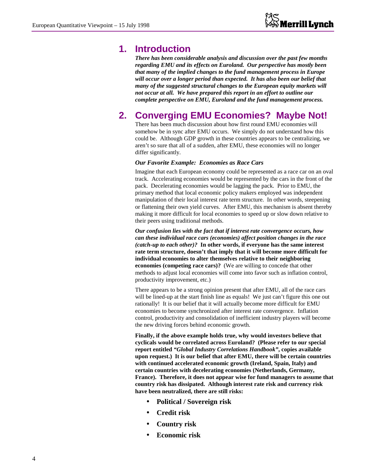### **1. Introduction**

*There has been considerable analysis and discussion over the past few months regarding EMU and its effects on Euroland. Our perspective has mostly been that many of the implied changes to the fund management process in Europe will occur over a longer period than expected. It has also been our belief that many of the suggested structural changes to the European equity markets will not occur at all. We have prepared this report in an effort to outline our complete perspective on EMU, Euroland and the fund management process.*

### **2. Converging EMU Economies? Maybe Not!**

There has been much discussion about how first round EMU economies will somehow be in sync after EMU occurs. We simply do not understand how this could be. Although GDP growth in these countries appears to be centralizing, we aren't so sure that all of a sudden, after EMU, these economies will no longer differ significantly.

### *Our Favorite Example: Economies as Race Cars*

Imagine that each European economy could be represented as a race car on an oval track. Accelerating economies would be represented by the cars in the front of the pack. Decelerating economies would be lagging the pack. Prior to EMU, the primary method that local economic policy makers employed was independent manipulation of their local interest rate term structure. In other words, steepening or flattening their own yield curves. After EMU, this mechanism is absent thereby making it more difficult for local economies to speed up or slow down relative to their peers using traditional methods.

*Our confusion lies with the fact that if interest rate convergence occurs, how can these individual race cars (economies) affect position changes in the race (catch-up to each other)?* **In other words, if everyone has the same interest rate term structure, doesn't that imply that it will become more difficult for individual economies to alter themselves relative to their neighboring economies (competing race cars)?** (We are willing to concede that other methods to adjust local economies will come into favor such as inflation control, productivity improvement, etc.)

There appears to be a strong opinion present that after EMU, all of the race cars will be lined-up at the start finish line as equals! We just can't figure this one out rationally! It is our belief that it will actually become more difficult for EMU economies to become synchronized after interest rate convergence. Inflation control, productivity and consolidation of inefficient industry players will become the new driving forces behind economic growth.

**Finally, if the above example holds true, why would investors believe that cyclicals would be correlated across Euroland? (Please refer to our special report entitled** *"Global Industry Correlations Handbook"***, copies available upon request.) It is our belief that after EMU, there will be certain countries with continued accelerated economic growth (Ireland, Spain, Italy) and certain countries with decelerating economies (Netherlands, Germany, France). Therefore, it does not appear wise for fund managers to assume that country risk has dissipated. Although interest rate risk and currency risk have been neutralized, there are still risks:**

- **Political / Sovereign risk**
- **Credit risk**
- **Country risk**
- **Economic risk**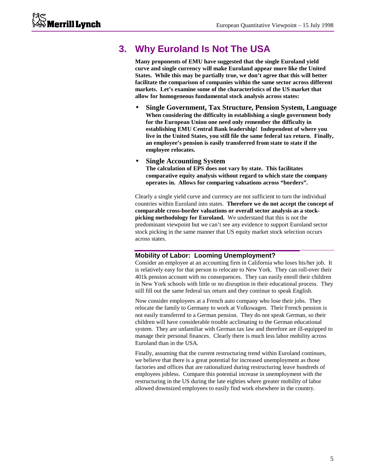### **3. Why Euroland Is Not The USA**

**Many proponents of EMU have suggested that the single Euroland yield curve and single currency will make Euroland appear more like the United States. While this may be partially true, we don't agree that this will better facilitate the comparison of companies within the same sector across different markets. Let's examine some of the characteristics of the US market that allow for homogeneous fundamental stock analysis across states:**

- **Single Government, Tax Structure, Pension System, Language When considering the difficulty in establishing a single government body for the European Union one need only remember the difficulty in establishing EMU Central Bank leadership! Independent of where you live in the United States, you still file the same federal tax return. Finally, an employee's pension is easily transferred from state to state if the employee relocates.**
- **Single Accounting System The calculation of EPS does not vary by state. This facilitates comparative equity analysis without regard to which state the company operates in. Allows for comparing valuations across "borders".**

Clearly a single yield curve and currency are not sufficient to turn the individual countries within Euroland into states. **Therefore we do not accept the concept of comparable cross-border valuations or overall sector analysis as a stockpicking methodology for Euroland.** We understand that this is not the predominant viewpoint but we can't see any evidence to support Euroland sector stock picking in the same manner that US equity market stock selection occurs across states.

### **Mobility of Labor: Looming Unemployment?**

Consider an employee at an accounting firm in California who loses his/her job. It is relatively easy for that person to relocate to New York. They can roll-over their 401k pension account with no consequences. They can easily enroll their children in New York schools with little or no disruption in their educational process. They still fill out the same federal tax return and they continue to speak English.

Now consider employees at a French auto company who lose their jobs. They relocate the family to Germany to work at Volkswagen. Their French pension is not easily transferred to a German pension. They do not speak German, so their children will have considerable trouble acclimating to the German educational system. They are unfamiliar with German tax law and therefore are ill-equipped to manage their personal finances. Clearly there is much less labor mobility across Euroland than in the USA.

Finally, assuming that the current restructuring trend within Euroland continues, we believe that there is a great potential for increased unemployment as those factories and offices that are rationalized during restructuring leave hundreds of employees jobless. Compare this potential increase in unemployment with the restructuring in the US during the late eighties where greater mobility of labor allowed downsized employees to easily find work elsewhere in the country.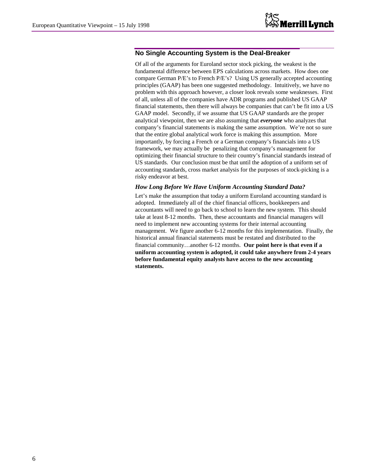### **No Single Accounting System is the Deal-Breaker**

Of all of the arguments for Euroland sector stock picking, the weakest is the fundamental difference between EPS calculations across markets. How does one compare German P/E's to French P/E's? Using US generally accepted accounting principles (GAAP) has been one suggested methodology. Intuitively, we have no problem with this approach however, a closer look reveals some weaknesses. First of all, unless all of the companies have ADR programs and published US GAAP financial statements, then there will always be companies that can't be fit into a US GAAP model. Secondly, if we assume that US GAAP standards are the proper analytical viewpoint, then we are also assuming that *everyone* who analyzes that company's financial statements is making the same assumption. We're not so sure that the entire global analytical work force is making this assumption. More importantly, by forcing a French or a German company's financials into a US framework, we may actually be penalizing that company's management for optimizing their financial structure to their country's financial standards instead of US standards. Our conclusion must be that until the adoption of a uniform set of accounting standards, cross market analysis for the purposes of stock-picking is a risky endeavor at best.

### *How Long Before We Have Uniform Accounting Standard Data?*

Let's make the assumption that today a uniform Euroland accounting standard is adopted. Immediately all of the chief financial officers, bookkeepers and accountants will need to go back to school to learn the new system. This should take at least 8-12 months. Then, these accountants and financial managers will need to implement new accounting systems for their internal accounting management. We figure another 6-12 months for this implementation. Finally, the historical annual financial statements must be restated and distributed to the financial community…another 6-12 months. **Our point here is that even if a uniform accounting system is adopted, it could take anywhere from 2-4 years before fundamental equity analysts have access to the new accounting statements.**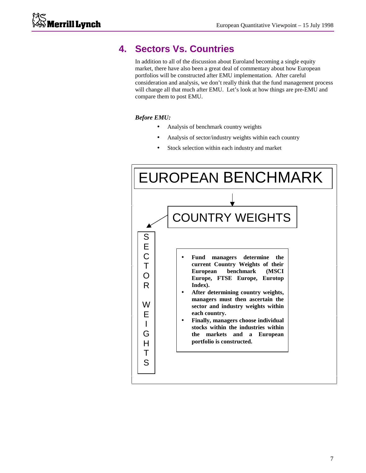### **4. Sectors Vs. Countries**

In addition to all of the discussion about Euroland becoming a single equity market, there have also been a great deal of commentary about how European portfolios will be constructed after EMU implementation. After careful consideration and analysis, we don't really think that the fund management process will change all that much after EMU. Let's look at how things are pre-EMU and compare them to post EMU.

### *Before EMU:*

- Analysis of benchmark country weights
- Analysis of sector/industry weights within each country
- Stock selection within each industry and market

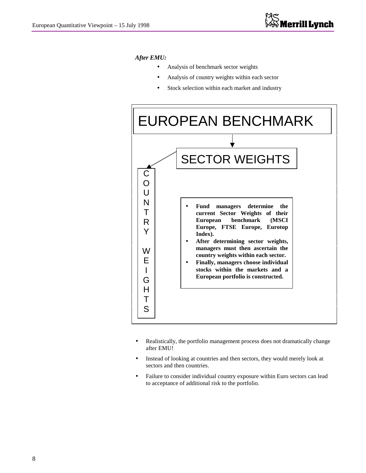### *After EMU:*

- Analysis of benchmark sector weights
- Analysis of country weights within each sector
- Stock selection within each market and industry



- Realistically, the portfolio management process does not dramatically change after EMU!
- Instead of looking at countries and then sectors, they would merely look at sectors and then countries.
- Failure to consider individual country exposure within Euro sectors can lead to acceptance of additional risk to the portfolio.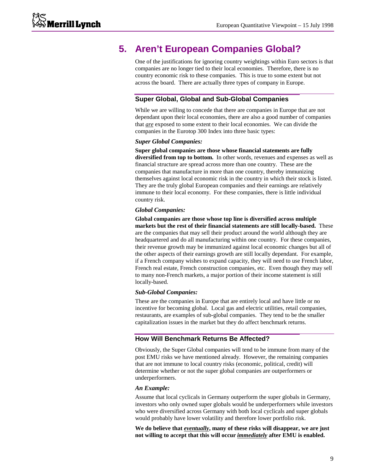### **5. Aren't European Companies Global?**

One of the justifications for ignoring country weightings within Euro sectors is that companies are no longer tied to their local economies. Therefore, there is no country economic risk to these companies. This is true to some extent but not across the board. There are actually three types of company in Europe.

### **Super Global, Global and Sub-Global Companies**

While we are willing to concede that there are companies in Europe that are not dependant upon their local economies, there are also a good number of companies that *are* exposed to some extent to their local economies. We can divide the companies in the Eurotop 300 Index into three basic types:

#### *Super Global Companies:*

**Super global companies are those whose financial statements are fully diversified from top to bottom.** In other words, revenues and expenses as well as financial structure are spread across more than one country. These are the companies that manufacture in more than one country, thereby immunizing themselves against local economic risk in the country in which their stock is listed. They are the truly global European companies and their earnings are relatively immune to their local economy. For these companies, there is little individual country risk.

#### *Global Companies:*

**Global companies are those whose top line is diversified across multiple markets but the rest of their financial statements are still locally-based.** These are the companies that may sell their product around the world although they are headquartered and do all manufacturing within one country. For these companies, their revenue growth may be immunized against local economic changes but all of the other aspects of their earnings growth are still locally dependant. For example, if a French company wishes to expand capacity, they will need to use French labor, French real estate, French construction companies, etc. Even though they may sell to many non-French markets, a major portion of their income statement is still locally-based.

#### *Sub-Global Companies:*

These are the companies in Europe that are entirely local and have little or no incentive for becoming global. Local gas and electric utilities, retail companies, restaurants, are examples of sub-global companies. They tend to be the smaller capitalization issues in the market but they do affect benchmark returns.

#### **How Will Benchmark Returns Be Affected?**

Obviously, the Super Global companies will tend to be immune from many of the post EMU risks we have mentioned already. However, the remaining companies that are not immune to local country risks (economic, political, credit) will determine whether or not the super global companies are outperformers or underperformers.

#### *An Example:*

Assume that local cyclicals in Germany outperform the super globals in Germany, investors who only owned super globals would be underperformers while investors who were diversified across Germany with both local cyclicals and super globals would probably have lower volatility and therefore lower portfolio risk.

**We do believe that** *eventually***, many of these risks will disappear, we are just not willing to accept that this will occur** *immediately* **after EMU is enabled.**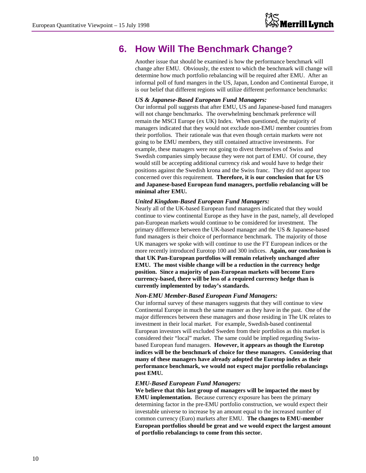### **6. How Will The Benchmark Change?**

Another issue that should be examined is how the performance benchmark will change after EMU. Obviously, the extent to which the benchmark will change will determine how much portfolio rebalancing will be required after EMU. After an informal poll of fund mangers in the US, Japan, London and Continental Europe, it is our belief that different regions will utilize different performance benchmarks:

#### *US & Japanese-Based European Fund Managers:*

Our informal poll suggests that after EMU, US and Japanese-based fund managers will not change benchmarks. The overwhelming benchmark preference will remain the MSCI Europe (ex UK) Index. When questioned, the majority of managers indicated that they would not exclude non-EMU member countries from their portfolios. Their rationale was that even though certain markets were not going to be EMU members, they still contained attractive investments. For example, these managers were not going to divest themselves of Swiss and Swedish companies simply because they were not part of EMU. Of course, they would still be accepting additional currency risk and would have to hedge their positions against the Swedish krona and the Swiss franc. They did not appear too concerned over this requirement. **Therefore, it is our conclusion that for US and Japanese-based European fund managers, portfolio rebalancing will be minimal after EMU.**

### *United Kingdom-Based European Fund Managers:*

Nearly all of the UK-based European fund managers indicated that they would continue to view continental Europe as they have in the past, namely, all developed pan-European markets would continue to be considered for investment. The primary difference between the UK-based manager and the US & Japanese-based fund managers is their choice of performance benchmark. The majority of those UK managers we spoke with will continue to use the FT European indices or the more recently introduced Eurotop 100 and 300 indices. **Again, our conclusion is that UK Pan-European portfolios will remain relatively unchanged after EMU. The most visible change will be a reduction in the currency hedge position. Since a majority of pan-European markets will become Euro currency-based, there will be less of a required currency hedge than is currently implemented by today's standards.**

#### *Non-EMU Member-Based European Fund Managers:*

Our informal survey of these managers suggests that they will continue to view Continental Europe in much the same manner as they have in the past. One of the major differences between these managers and those residing in The UK relates to investment in their local market. For example, Swedish-based continental European investors will excluded Sweden from their portfolios as this market is considered their "local" market. The same could be implied regarding Swissbased European fund managers. **However, it appears as though the Eurotop indices will be the benchmark of choice for these managers. Considering that many of these managers have already adopted the Eurotop index as their performance benchmark, we would not expect major portfolio rebalancings post EMU.**

#### *EMU-Based European Fund Managers:*

**We believe that this last group of managers will be impacted the most by EMU implementation.** Because currency exposure has been the primary determining factor in the pre-EMU portfolio construction, we would expect their investable universe to increase by an amount equal to the increased number of common currency (Euro) markets after EMU. **The changes to EMU-member European portfolios should be great and we would expect the largest amount of portfolio rebalancings to come from this sector.**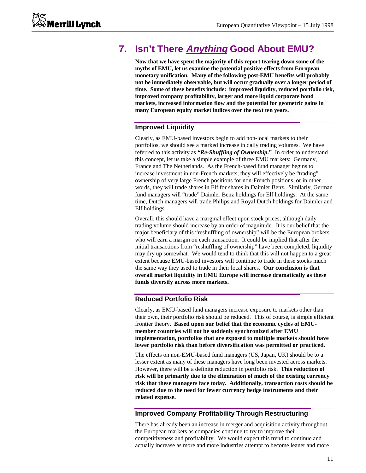### **7. Isn't There Anything Good About EMU?**

**Now that we have spent the majority of this report tearing down some of the myths of EMU, let us examine the potential positive effects from European monetary unification. Many of the following post-EMU benefits will probably not be immediately observable, but will occur gradually over a longer period of time. Some of these benefits include: improved liquidity, reduced portfolio risk, improved company profitability, larger and more liquid corporate bond markets, increased information flow and the potential for geometric gains in many European equity market indices over the next ten years.**

### **Improved Liquidity**

Clearly, as EMU-based investors begin to add non-local markets to their portfolios, we should see a marked increase in daily trading volumes. We have referred to this activity as *"Re-Shuffling of Ownership***."** In order to understand this concept, let us take a simple example of three EMU markets: Germany, France and The Netherlands. As the French-based fund manager begins to increase investment in non-French markets, they will effectively be "trading" ownership of very large French positions for non-French positions, or in other words, they will trade shares in Elf for shares in Daimler Benz. Similarly, German fund managers will "trade" Daimler Benz holdings for Elf holdings. At the same time, Dutch managers will trade Philips and Royal Dutch holdings for Daimler and Elf holdings.

Overall, this should have a marginal effect upon stock prices, although daily trading volume should increase by an order of magnitude. It is our belief that the major beneficiary of this "reshuffling of ownership" will be the European brokers who will earn a margin on each transaction. It could be implied that after the initial transactions from "reshuffling of ownership" have been completed, liquidity may dry up somewhat. We would tend to think that this will not happen to a great extent because EMU-based investors will continue to trade in these stocks much the same way they used to trade in their local shares. **Our conclusion is that overall market liquidity in EMU Europe will increase dramatically as these funds diversify across more markets.**

### **Reduced Portfolio Risk**

Clearly, as EMU-based fund managers increase exposure to markets other than their own, their portfolio risk should be reduced. This of course, is simple efficient frontier theory. **Based upon our belief that the economic cycles of EMUmember countries will not be suddenly synchronized after EMU implementation, portfolios that are exposed to multiple markets should have lower portfolio risk than before diversification was permitted or practiced.**

The effects on non-EMU-based fund managers (US, Japan, UK) should be to a lesser extent as many of these managers have long been invested across markets. However, there will be a definite reduction in portfolio risk. **This reduction of risk will be primarily due to the elimination of much of the existing currency risk that these managers face today. Additionally, transaction costs should be reduced due to the need for fewer currency hedge instruments and their related expense.**

### **Improved Company Profitability Through Restructuring**

There has already been an increase in merger and acquisition activity throughout the European markets as companies continue to try to improve their competitiveness and profitability. We would expect this trend to continue and actually increase as more and more industries attempt to become leaner and more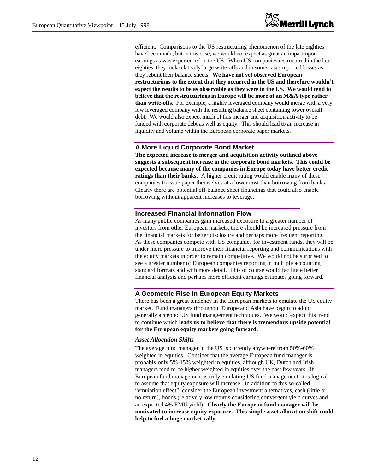efficient. Comparisons to the US restructuring phenomenon of the late eighties have been made, but in this case, we would not expect as great an impact upon earnings as was experienced in the US. When US companies restructured in the late eighties, they took relatively large write-offs and in some cases reported losses as they rebuilt their balance sheets. **We have not yet observed European restructurings to the extent that they occurred in the US and therefore wouldn't expect the results to be as observable as they were in the US. We would tend to believe that the restructurings in Europe will be more of an M&A type rather than write-offs.** For example, a highly leveraged company would merge with a very low leveraged company with the resulting balance sheet containing lower overall debt. We would also expect much of this merger and acquisition activity to be funded with corporate debt as well as equity. This should lead to an increase in liquidity and volume within the European corporate paper markets.

### **A More Liquid Corporate Bond Market**

**The expected increase to merger and acquisition activity outlined above suggests a subsequent increase in the corporate bond markets. This could be expected because many of the companies in Europe today have better credit ratings than their banks.** A higher credit rating would enable many of these companies to issue paper themselves at a lower cost than borrowing from banks. Clearly there are potential off-balance sheet financings that could also enable borrowing without apparent increases to leverage.

### **Increased Financial Information Flow**

As many public companies gain increased exposure to a greater number of investors from other European markets, there should be increased pressure from the financial markets for better disclosure and perhaps more frequent reporting. As these companies compete with US companies for investment funds, they will be under more pressure to improve their financial reporting and communications with the equity markets in order to remain competitive. We would not be surprised to see a greater number of European companies reporting in multiple accounting standard formats and with more detail. This of course would facilitate better financial analysis and perhaps more efficient earnings estimates going forward.

### **A Geometric Rise In European Equity Markets**

There has been a great tendency in the European markets to emulate the US equity market. Fund managers throughout Europe and Asia have begun to adopt generally accepted US fund management techniques. We would expect this trend to continue which **leads us to believe that there is tremendous upside potential for the European equity markets going forward.**

#### *Asset Allocation Shifts*

The average fund manager in the US is currently anywhere from 50%-60% weighted in equities. Consider that the average European fund manager is probably only 5%-15% weighted in equities, although UK, Dutch and Irish managers tend to be higher weighted in equities over the past few years. If European fund management is truly emulating US fund management, it is logical to assume that equity exposure will increase. In addition to this so-called "emulation effect", consider the European investment alternatives, cash (little or no return), bonds (relatively low returns considering convergent yield curves and an expected 4% EMU yield). **Clearly the European fund manager will be motivated to increase equity exposure. This simple asset allocation shift could help to fuel a huge market rally.**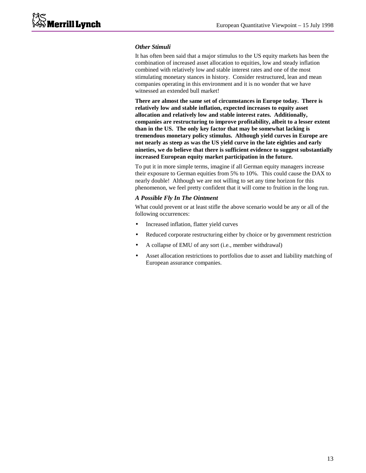### *Other Stimuli*

It has often been said that a major stimulus to the US equity markets has been the combination of increased asset allocation to equities, low and steady inflation combined with relatively low and stable interest rates and one of the most stimulating monetary stances in history. Consider restructured, lean and mean companies operating in this environment and it is no wonder that we have witnessed an extended bull market!

**There are almost the same set of circumstances in Europe today. There is relatively low and stable inflation, expected increases to equity asset allocation and relatively low and stable interest rates. Additionally, companies are restructuring to improve profitability, albeit to a lesser extent than in the US. The only key factor that may be somewhat lacking is tremendous monetary policy stimulus. Although yield curves in Europe are not nearly as steep as was the US yield curve in the late eighties and early nineties, we do believe that there is sufficient evidence to suggest substantially increased European equity market participation in the future.**

To put it in more simple terms, imagine if all German equity managers increase their exposure to German equities from 5% to 10%. This could cause the DAX to nearly double! Although we are not willing to set any time horizon for this phenomenon, we feel pretty confident that it will come to fruition in the long run.

### *A Possible Fly In The Ointment*

What could prevent or at least stifle the above scenario would be any or all of the following occurrences:

- Increased inflation, flatter yield curves
- Reduced corporate restructuring either by choice or by government restriction
- A collapse of EMU of any sort (i.e., member withdrawal)
- Asset allocation restrictions to portfolios due to asset and liability matching of European assurance companies.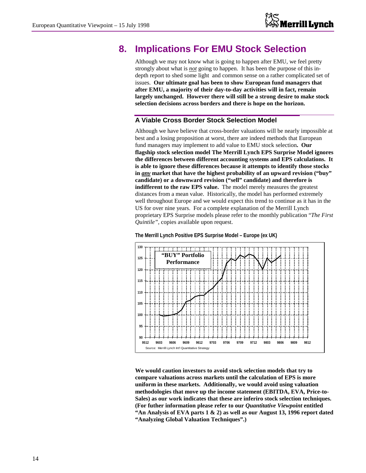### **8. Implications For EMU Stock Selection**

Although we may not know what is going to happen after EMU, we feel pretty strongly about what is *not* going to happen. It has been the purpose of this indepth report to shed some light and common sense on a rather complicated set of issues. **Our ultimate goal has been to show European fund managers that after EMU, a majority of their day-to-day activities will in fact, remain largely unchanged. However there will still be a strong desire to make stock selection decisions across borders and there is hope on the horizon.**

### **A Viable Cross Border Stock Selection Model**

Although we have believe that cross-border valuations will be nearly impossible at best and a losing proposition at worst, there are indeed methods that European fund managers may implement to add value to EMU stock selection**. Our flagship stock selection model The Merrill Lynch EPS Surprise Model ignores the differences between different accounting systems and EPS calculations. It is able to ignore these differences because it attempts to identify those stocks in** *any* **market that have the highest probability of an upward revision ("buy" candidate) or a downward revision ("sell" candidate) and therefore is indifferent to the raw EPS value.** The model merely measures the greatest distances from a mean value. Historically, the model has performed extremely well throughout Europe and we would expect this trend to continue as it has in the US for over nine years. For a complete explanation of the Merrill Lynch proprietary EPS Surprise models please refer to the monthly publication "*The First Quintile",* copies available upon request.



**The Merrill Lynch Positive EPS Surprise Model – Europe (ex UK)**

**We would caution investors to avoid stock selection models that try to compare valuations across markets until the calculation of EPS is more uniform in these markets. Additionally, we would avoid using valuation methodologies that move up the income statement (EBITDA, EVA, Price-to-Sales) as our work indicates that these are inferiro stock selection techniques. (For futher information please refer to our** *Quantitative Viewpoint* **entitled "An Analysis of EVA parts 1 & 2) as well as our August 13, 1996 report dated "Analyzing Global Valuation Techniques".)**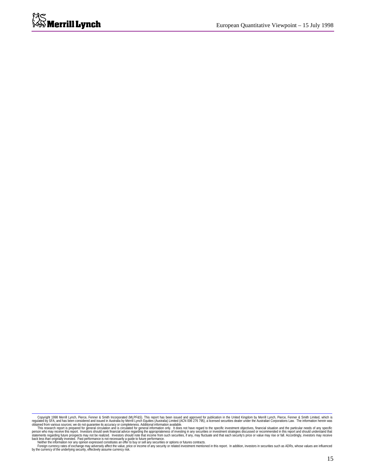Copyright 1998 Merrill Lynch, Pierce, Fenner & Smith Limited, which is the space of the methand (MLPF&S). This report and approved for publication in the United Kingdom by Merrill Lynch, Pierce, Fenner & Smith Limited, whi